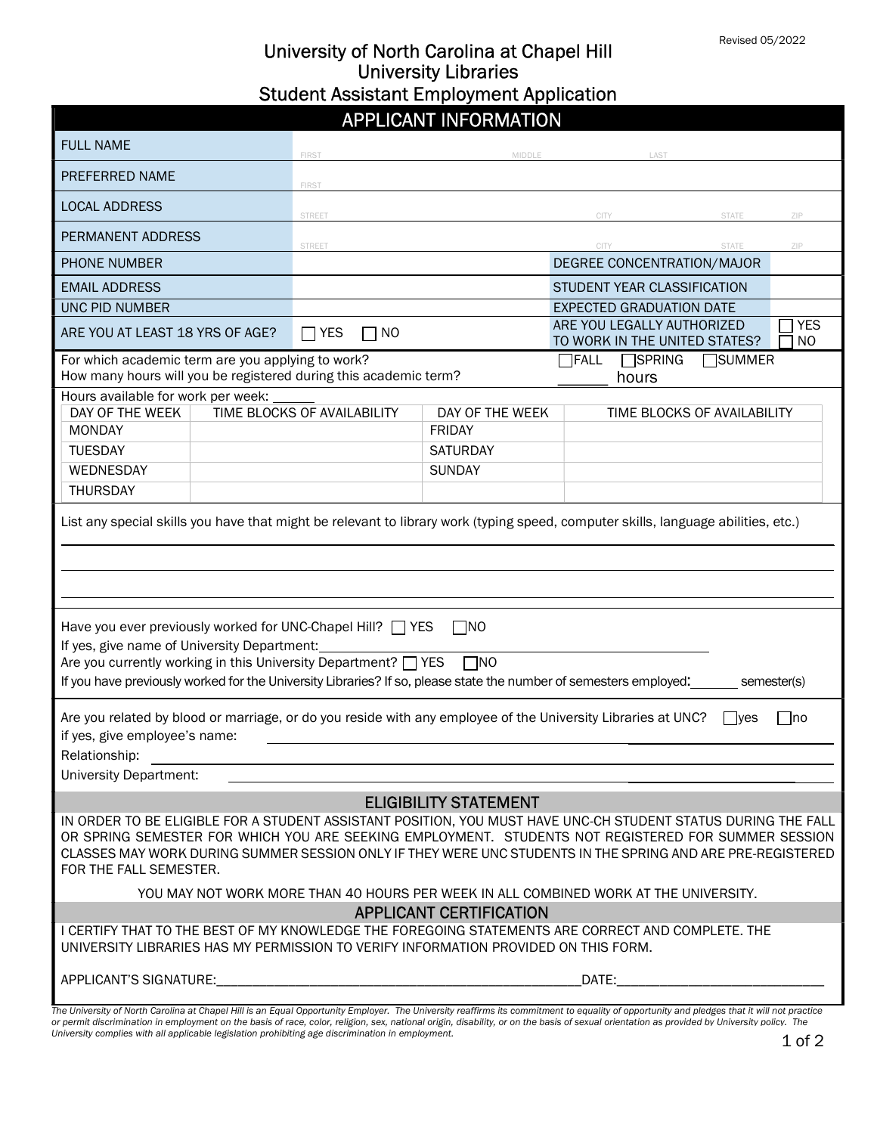## University of North Carolina at Chapel Hill University Libraries Student Assistant Employment Application

# APPLICANT INFORMATION

| <b>FULL NAME</b>                                                                                                                                                                                                                                                                                                                                             |  | FIRST                       | MIDDLE          | LAST                                                        |                 |                              |  |  |
|--------------------------------------------------------------------------------------------------------------------------------------------------------------------------------------------------------------------------------------------------------------------------------------------------------------------------------------------------------------|--|-----------------------------|-----------------|-------------------------------------------------------------|-----------------|------------------------------|--|--|
| PREFERRED NAME                                                                                                                                                                                                                                                                                                                                               |  | <b>FIRST</b>                |                 |                                                             |                 |                              |  |  |
| <b>LOCAL ADDRESS</b>                                                                                                                                                                                                                                                                                                                                         |  | <b>STREET</b>               |                 | CITY                                                        | <b>STATE</b>    | ZIP                          |  |  |
| PERMANENT ADDRESS                                                                                                                                                                                                                                                                                                                                            |  | <b>STREET</b>               |                 | CITY                                                        | <b>STATE</b>    | ZIP                          |  |  |
| <b>PHONE NUMBER</b>                                                                                                                                                                                                                                                                                                                                          |  |                             |                 | DEGREE CONCENTRATION/MAJOR                                  |                 |                              |  |  |
| <b>EMAIL ADDRESS</b>                                                                                                                                                                                                                                                                                                                                         |  |                             |                 | STUDENT YEAR CLASSIFICATION                                 |                 |                              |  |  |
| UNC PID NUMBER                                                                                                                                                                                                                                                                                                                                               |  |                             |                 | <b>EXPECTED GRADUATION DATE</b>                             |                 |                              |  |  |
| ARE YOU AT LEAST 18 YRS OF AGE?                                                                                                                                                                                                                                                                                                                              |  | $\Box$ Yes<br>l NO          |                 | ARE YOU LEGALLY AUTHORIZED<br>TO WORK IN THE UNITED STATES? |                 | <b>YES</b><br>N <sub>O</sub> |  |  |
| For which academic term are you applying to work?<br>How many hours will you be registered during this academic term?                                                                                                                                                                                                                                        |  |                             |                 | $\Box$ SPRING<br><b>FALL</b><br>hours                       | <b>□</b> SUMMER |                              |  |  |
| Hours available for work per week:                                                                                                                                                                                                                                                                                                                           |  |                             |                 |                                                             |                 |                              |  |  |
| DAY OF THE WEEK                                                                                                                                                                                                                                                                                                                                              |  | TIME BLOCKS OF AVAILABILITY | DAY OF THE WEEK | TIME BLOCKS OF AVAILABILITY                                 |                 |                              |  |  |
| <b>MONDAY</b>                                                                                                                                                                                                                                                                                                                                                |  |                             | <b>FRIDAY</b>   |                                                             |                 |                              |  |  |
| <b>TUESDAY</b>                                                                                                                                                                                                                                                                                                                                               |  |                             | <b>SATURDAY</b> |                                                             |                 |                              |  |  |
| WEDNESDAY                                                                                                                                                                                                                                                                                                                                                    |  |                             | <b>SUNDAY</b>   |                                                             |                 |                              |  |  |
| <b>THURSDAY</b>                                                                                                                                                                                                                                                                                                                                              |  |                             |                 |                                                             |                 |                              |  |  |
|                                                                                                                                                                                                                                                                                                                                                              |  |                             |                 |                                                             |                 |                              |  |  |
| Have you ever previously worked for UNC-Chapel Hill? $\Box$ YES<br>$\square$ NO<br>If yes, give name of University Department:<br>Are you currently working in this University Department? $\Box$ YES<br>$\Box$ NO<br>If you have previously worked for the University Libraries? If so, please state the number of semesters employed:<br>semesters (s)     |  |                             |                 |                                                             |                 |                              |  |  |
| Are you related by blood or marriage, or do you reside with any employee of the University Libraries at UNC?<br>∏no<br>I ves<br>if yes, give employee's name:<br>Relationship:                                                                                                                                                                               |  |                             |                 |                                                             |                 |                              |  |  |
| University Department:                                                                                                                                                                                                                                                                                                                                       |  |                             |                 |                                                             |                 |                              |  |  |
| <b>ELIGIBILITY STATEMENT</b>                                                                                                                                                                                                                                                                                                                                 |  |                             |                 |                                                             |                 |                              |  |  |
| IN ORDER TO BE ELIGIBLE FOR A STUDENT ASSISTANT POSITION, YOU MUST HAVE UNC-CH STUDENT STATUS DURING THE FALL<br>OR SPRING SEMESTER FOR WHICH YOU ARE SEEKING EMPLOYMENT. STUDENTS NOT REGISTERED FOR SUMMER SESSION<br>CLASSES MAY WORK DURING SUMMER SESSION ONLY IF THEY WERE UNC STUDENTS IN THE SPRING AND ARE PRE-REGISTERED<br>FOR THE FALL SEMESTER. |  |                             |                 |                                                             |                 |                              |  |  |
| YOU MAY NOT WORK MORE THAN 40 HOURS PER WEEK IN ALL COMBINED WORK AT THE UNIVERSITY.                                                                                                                                                                                                                                                                         |  |                             |                 |                                                             |                 |                              |  |  |
| <b>APPLICANT CERTIFICATION</b>                                                                                                                                                                                                                                                                                                                               |  |                             |                 |                                                             |                 |                              |  |  |
| I CERTIFY THAT TO THE BEST OF MY KNOWLEDGE THE FOREGOING STATEMENTS ARE CORRECT AND COMPLETE. THE<br>UNIVERSITY LIBRARIES HAS MY PERMISSION TO VERIFY INFORMATION PROVIDED ON THIS FORM.                                                                                                                                                                     |  |                             |                 |                                                             |                 |                              |  |  |
| APPLICANT'S SIGNATURE:                                                                                                                                                                                                                                                                                                                                       |  | DATE:                       |                 |                                                             |                 |                              |  |  |
| -<br>The University of North Carolina at Chapel Hill is an Equal Opportunity Employer. The University reaffirms its commitment to equality of opportunity and pledges that it will not practice                                                                                                                                                              |  |                             |                 |                                                             |                 |                              |  |  |

The University of North Carolina at Chapel Hill is an Equal Opportunity Employer. The University reaffirms its commitment to equality of opportunity and pledges that it will not practice<br>or permit discrimination in employm University complies with all applicable legislation prohibiting age discrimination in employment.